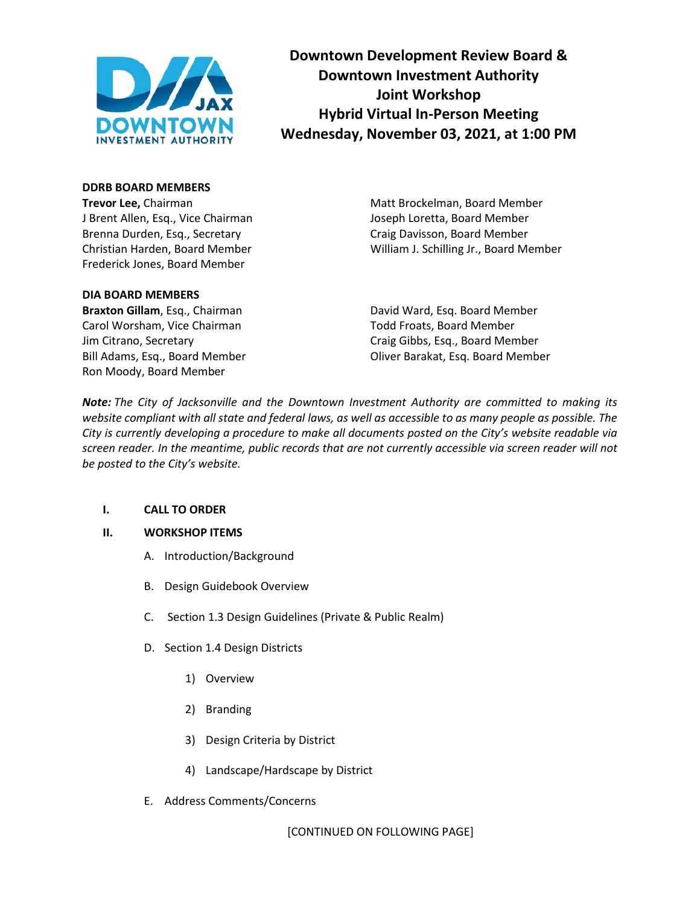

**Downtown Development Review Board & Downtown Investment Authority Joint Workshop Hybrid Virtual In-Person Meeting Wednesday, November 03, 2021, at 1:00 PM**

# **DDRB BOARD MEMBERS**

**Trevor Lee,** Chairman Matt Brockelman, Board Member J Brent Allen, Esq., Vice Chairman Joseph Loretta, Board Member Brenna Durden, Esq., Secretary **Calculary Craig Davisson, Board Member** Craig Davisson, Board Member Frederick Jones, Board Member

### **DIA BOARD MEMBERS**

Carol Worsham, Vice Chairman Todd Froats, Board Member Ron Moody, Board Member

Christian Harden, Board Member William J. Schilling Jr., Board Member

**Braxton Gillam**, Esq., Chairman **David Ward, Esq. Board Member** Jim Citrano, Secretary Craig Gibbs, Esq., Board Member Bill Adams, Esq., Board Member Oliver Barakat, Esq. Board Member

*Note: The City of Jacksonville and the Downtown Investment Authority are committed to making its website compliant with all state and federal laws, as well as accessible to as many people as possible. The City is currently developing a procedure to make all documents posted on the City's website readable via screen reader. In the meantime, public records that are not currently accessible via screen reader will not be posted to the City's website.* 

# **I. CALL TO ORDER**

#### **II. WORKSHOP ITEMS**

- A. Introduction/Background
- B. Design Guidebook Overview
- C. Section 1.3 Design Guidelines (Private & Public Realm)
- D. Section 1.4 Design Districts
	- 1) Overview
	- 2) Branding
	- 3) Design Criteria by District
	- 4) Landscape/Hardscape by District
- E. Address Comments/Concerns